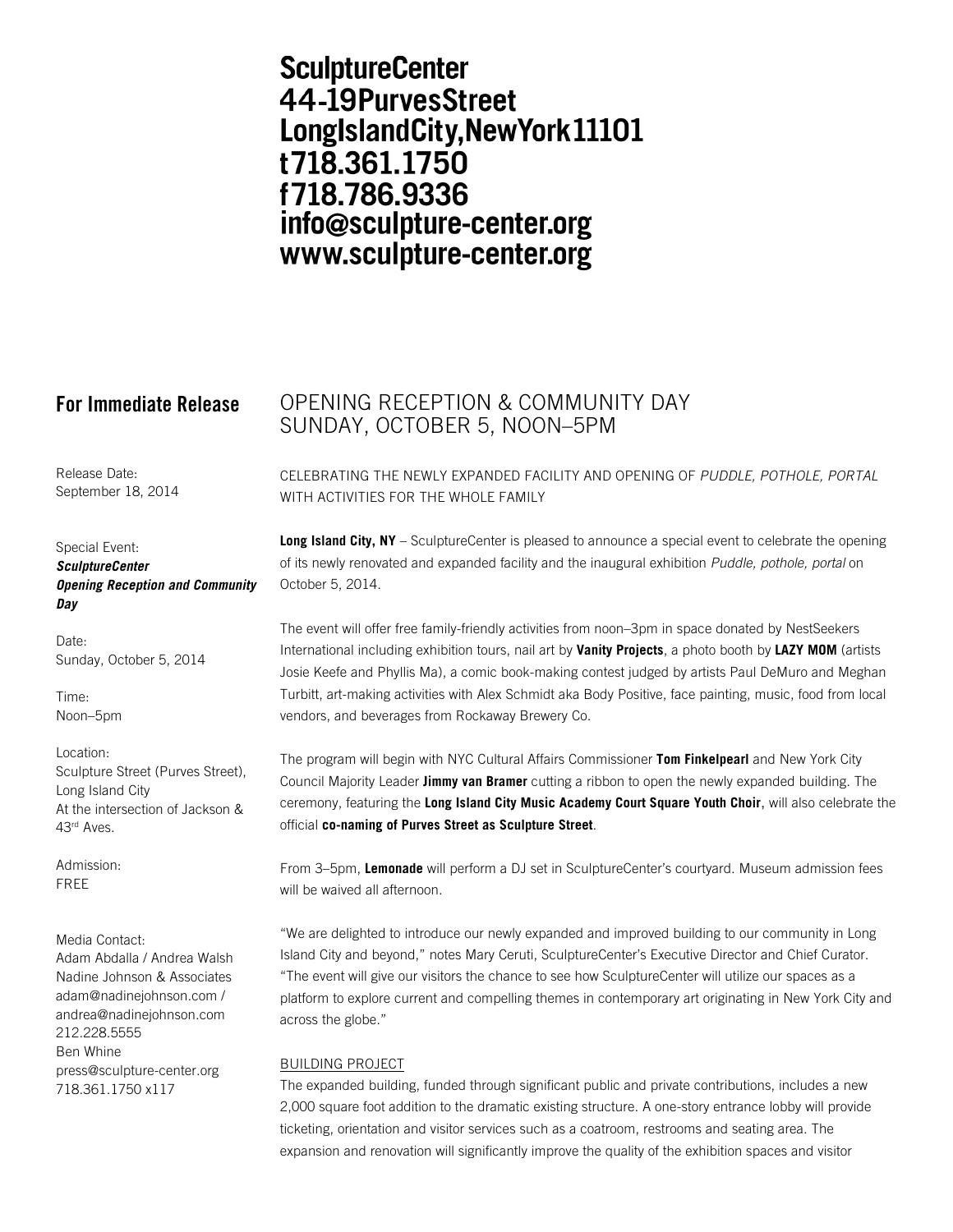# **SculptureCenter** 44-19PurvesStreet LongIslandCity, New York 11101 t718.361.1750 f718.786.9336 info@sculpture-center.org www.sculpture-center.org

Release Date: September 18, 2014

Special Event: *SculptureCenter Opening Reception and Community Day* 

Date: Sunday, October 5, 2014

Time: Noon–5pm

Location: Sculpture Street (Purves Street), Long Island City At the intersection of Jackson & 43rd Aves.

Admission: FREE

Media Contact: Adam Abdalla / Andrea Walsh Nadine Johnson & Associates adam@nadinejohnson.com / andrea@nadinejohnson.com 212.228.5555 Ben Whine press@sculpture-center.org 718.361.1750 x117

# **For Immediate Release** OPENING RECEPTION & COMMUNITY DAY SUNDAY, OCTOBER 5, NOON–5PM

CELEBRATING THE NEWLY EXPANDED FACILITY AND OPENING OF *PUDDLE, POTHOLE, PORTAL* WITH ACTIVITIES FOR THE WHOLE FAMILY

**Long Island City, NY** – SculptureCenter is pleased to announce a special event to celebrate the opening of its newly renovated and expanded facility and the inaugural exhibition *Puddle, pothole, portal* on October 5, 2014.

The event will offer free family-friendly activities from noon–3pm in space donated by NestSeekers International including exhibition tours, nail art by **Vanity Projects**, a photo booth by **LAZY MOM** (artists Josie Keefe and Phyllis Ma), a comic book-making contest judged by artists Paul DeMuro and Meghan Turbitt, art-making activities with Alex Schmidt aka Body Positive, face painting, music, food from local vendors, and beverages from Rockaway Brewery Co.

The program will begin with NYC Cultural Affairs Commissioner **Tom Finkelpearl** and New York City Council Majority Leader **Jimmy van Bramer** cutting a ribbon to open the newly expanded building. The ceremony, featuring the **Long Island City Music Academy Court Square Youth Choir**, will also celebrate the official **co-naming of Purves Street as Sculpture Street**.

From 3–5pm, **Lemonade** will perform a DJ set in SculptureCenter's courtyard. Museum admission fees will be waived all afternoon.

"We are delighted to introduce our newly expanded and improved building to our community in Long Island City and beyond," notes Mary Ceruti, SculptureCenter's Executive Director and Chief Curator. "The event will give our visitors the chance to see how SculptureCenter will utilize our spaces as a platform to explore current and compelling themes in contemporary art originating in New York City and across the globe."

# BUILDING PROJECT

The expanded building, funded through significant public and private contributions, includes a new 2,000 square foot addition to the dramatic existing structure. A one-story entrance lobby will provide ticketing, orientation and visitor services such as a coatroom, restrooms and seating area. The expansion and renovation will significantly improve the quality of the exhibition spaces and visitor